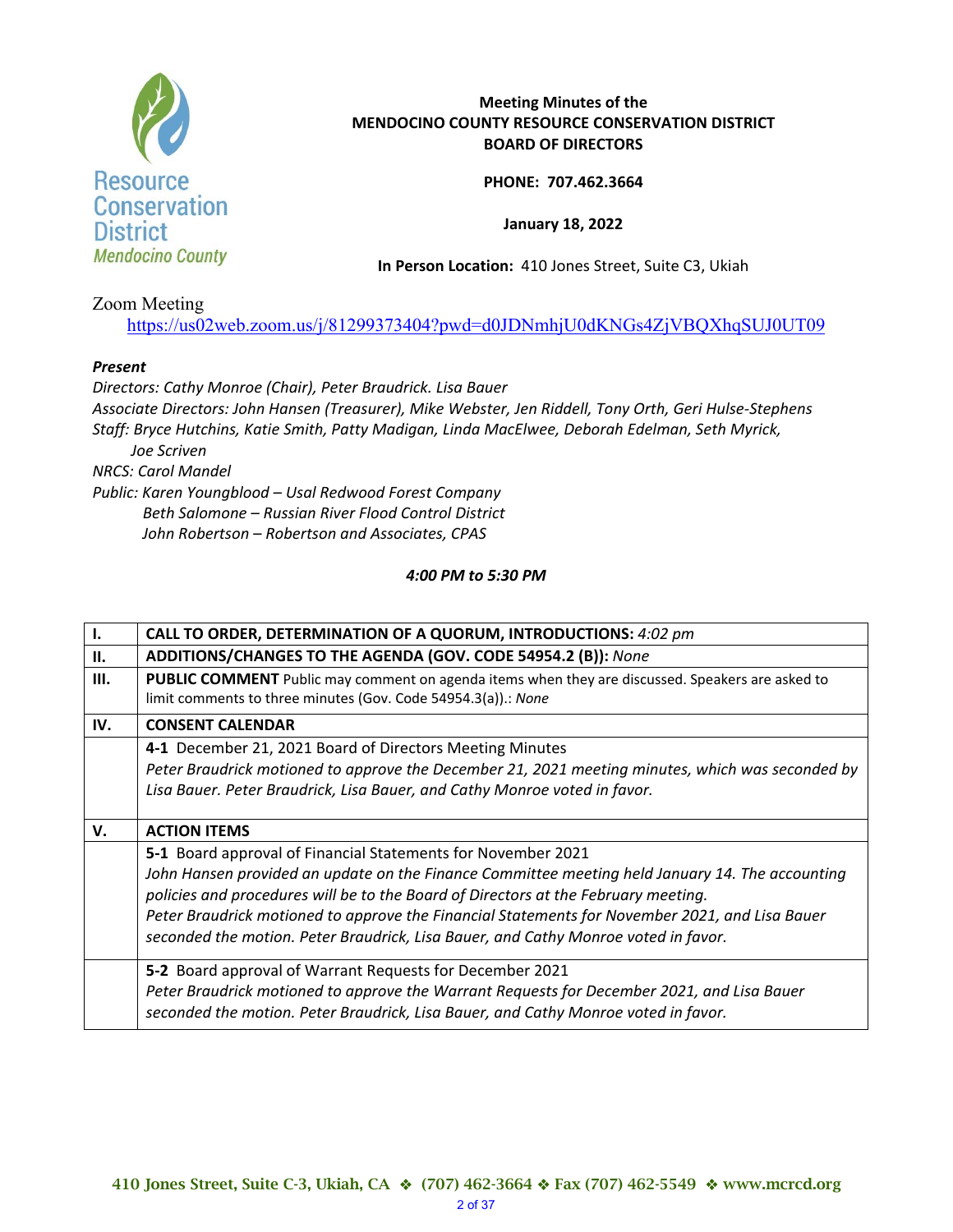

## **Meeting Minutes of the MENDOCINO COUNTY RESOURCE CONSERVATION DISTRICT BOARD OF DIRECTORS**

**PHONE: 707.462.3664** 

**January 18, 2022** 

**In Person Location:** 410 Jones Street, Suite C3, Ukiah

Zoom Meeting

https://us02web.zoom.us/j/81299373404?pwd=d0JDNmhjU0dKNGs4ZjVBQXhqSUJ0UT09

## *Present*

*Directors: Cathy Monroe (Chair), Peter Braudrick. Lisa Bauer Associate Directors: John Hansen (Treasurer), Mike Webster, Jen Riddell, Tony Orth, Geri Hulse‐Stephens Staff: Bryce Hutchins, Katie Smith, Patty Madigan, Linda MacElwee, Deborah Edelman, Seth Myrick, Joe Scriven NRCS: Carol Mandel Public: Karen Youngblood – Usal Redwood Forest Company Beth Salomone – Russian River Flood Control District John Robertson – Robertson and Associates, CPAS* 

*4:00 PM to 5:30 PM* 

| $\mathbf{I}$ . | CALL TO ORDER, DETERMINATION OF A QUORUM, INTRODUCTIONS: 4:02 pm                                                                                                                      |
|----------------|---------------------------------------------------------------------------------------------------------------------------------------------------------------------------------------|
| П.             | ADDITIONS/CHANGES TO THE AGENDA (GOV. CODE 54954.2 (B)): None                                                                                                                         |
| Ш.             | PUBLIC COMMENT Public may comment on agenda items when they are discussed. Speakers are asked to<br>limit comments to three minutes (Gov. Code 54954.3(a)).: None                     |
| IV.            | <b>CONSENT CALENDAR</b>                                                                                                                                                               |
|                | 4-1 December 21, 2021 Board of Directors Meeting Minutes                                                                                                                              |
|                | Peter Braudrick motioned to approve the December 21, 2021 meeting minutes, which was seconded by                                                                                      |
|                | Lisa Bauer. Peter Braudrick, Lisa Bauer, and Cathy Monroe voted in favor.                                                                                                             |
|                |                                                                                                                                                                                       |
| V.             | <b>ACTION ITEMS</b>                                                                                                                                                                   |
|                | 5-1 Board approval of Financial Statements for November 2021                                                                                                                          |
|                | John Hansen provided an update on the Finance Committee meeting held January 14. The accounting<br>policies and procedures will be to the Board of Directors at the February meeting. |
|                | Peter Braudrick motioned to approve the Financial Statements for November 2021, and Lisa Bauer                                                                                        |
|                | seconded the motion. Peter Braudrick, Lisa Bauer, and Cathy Monroe voted in favor.                                                                                                    |
|                | 5-2 Board approval of Warrant Requests for December 2021                                                                                                                              |
|                | Peter Braudrick motioned to approve the Warrant Requests for December 2021, and Lisa Bauer                                                                                            |
|                | seconded the motion. Peter Braudrick, Lisa Bauer, and Cathy Monroe voted in favor.                                                                                                    |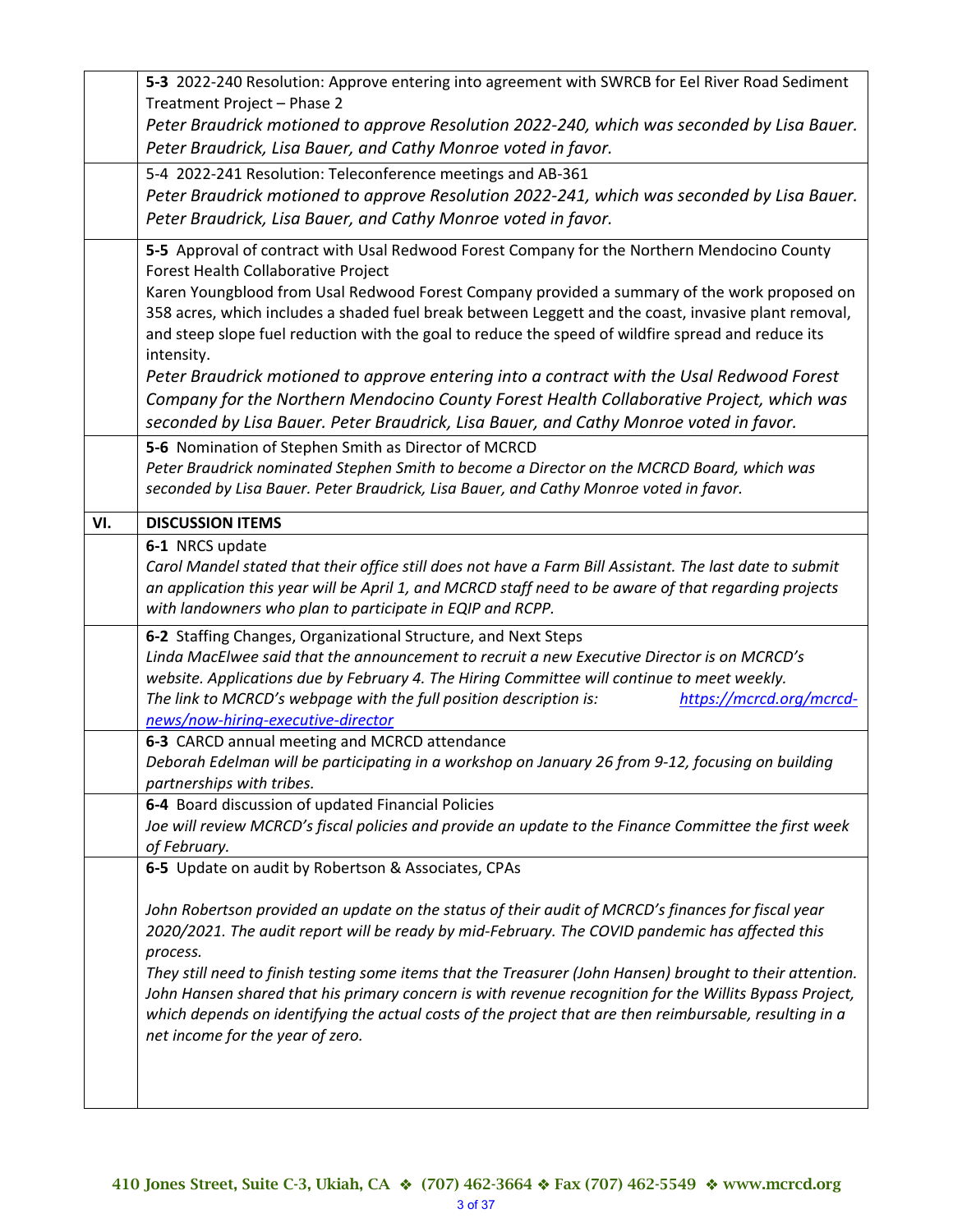|     | 5-3 2022-240 Resolution: Approve entering into agreement with SWRCB for Eel River Road Sediment                                                             |
|-----|-------------------------------------------------------------------------------------------------------------------------------------------------------------|
|     | Treatment Project - Phase 2                                                                                                                                 |
|     | Peter Braudrick motioned to approve Resolution 2022-240, which was seconded by Lisa Bauer.<br>Peter Braudrick, Lisa Bauer, and Cathy Monroe voted in favor. |
|     |                                                                                                                                                             |
|     | 5-4 2022-241 Resolution: Teleconference meetings and AB-361                                                                                                 |
|     | Peter Braudrick motioned to approve Resolution 2022-241, which was seconded by Lisa Bauer.                                                                  |
|     | Peter Braudrick, Lisa Bauer, and Cathy Monroe voted in favor.                                                                                               |
|     | 5-5 Approval of contract with Usal Redwood Forest Company for the Northern Mendocino County<br>Forest Health Collaborative Project                          |
|     | Karen Youngblood from Usal Redwood Forest Company provided a summary of the work proposed on                                                                |
|     | 358 acres, which includes a shaded fuel break between Leggett and the coast, invasive plant removal,                                                        |
|     | and steep slope fuel reduction with the goal to reduce the speed of wildfire spread and reduce its                                                          |
|     | intensity.                                                                                                                                                  |
|     | Peter Braudrick motioned to approve entering into a contract with the Usal Redwood Forest                                                                   |
|     | Company for the Northern Mendocino County Forest Health Collaborative Project, which was                                                                    |
|     | seconded by Lisa Bauer. Peter Braudrick, Lisa Bauer, and Cathy Monroe voted in favor.                                                                       |
|     | 5-6 Nomination of Stephen Smith as Director of MCRCD                                                                                                        |
|     | Peter Braudrick nominated Stephen Smith to become a Director on the MCRCD Board, which was                                                                  |
|     | seconded by Lisa Bauer. Peter Braudrick, Lisa Bauer, and Cathy Monroe voted in favor.                                                                       |
| VI. | <b>DISCUSSION ITEMS</b>                                                                                                                                     |
|     | 6-1 NRCS update                                                                                                                                             |
|     | Carol Mandel stated that their office still does not have a Farm Bill Assistant. The last date to submit                                                    |
|     | an application this year will be April 1, and MCRCD staff need to be aware of that regarding projects                                                       |
|     | with landowners who plan to participate in EQIP and RCPP.                                                                                                   |
|     | 6-2 Staffing Changes, Organizational Structure, and Next Steps                                                                                              |
|     | Linda MacElwee said that the announcement to recruit a new Executive Director is on MCRCD's                                                                 |
|     | website. Applications due by February 4. The Hiring Committee will continue to meet weekly.                                                                 |
|     | The link to MCRCD's webpage with the full position description is:<br>https://mcrcd.org/mcrcd-                                                              |
|     | news/now-hiring-executive-director                                                                                                                          |
|     | 6-3 CARCD annual meeting and MCRCD attendance<br>Deborah Edelman will be participating in a workshop on January 26 from 9-12, focusing on building          |
|     | partnerships with tribes.                                                                                                                                   |
|     | 6-4 Board discussion of updated Financial Policies                                                                                                          |
|     | Joe will review MCRCD's fiscal policies and provide an update to the Finance Committee the first week                                                       |
|     | of February.                                                                                                                                                |
|     | 6-5 Update on audit by Robertson & Associates, CPAs                                                                                                         |
|     |                                                                                                                                                             |
|     |                                                                                                                                                             |
|     | John Robertson provided an update on the status of their audit of MCRCD's finances for fiscal year                                                          |
|     | 2020/2021. The audit report will be ready by mid-February. The COVID pandemic has affected this                                                             |
|     | process.                                                                                                                                                    |
|     | They still need to finish testing some items that the Treasurer (John Hansen) brought to their attention.                                                   |
|     | John Hansen shared that his primary concern is with revenue recognition for the Willits Bypass Project,                                                     |
|     | which depends on identifying the actual costs of the project that are then reimbursable, resulting in a                                                     |
|     | net income for the year of zero.                                                                                                                            |
|     |                                                                                                                                                             |